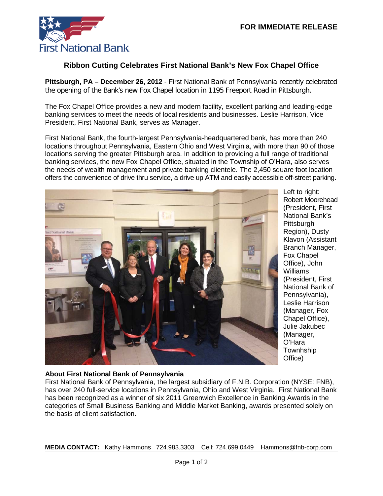

## **Ribbon Cutting Celebrates First National Bank's New Fox Chapel Office**

**Pittsburgh, PA – December 26, 2012** - First National Bank of Pennsylvania recently celebrated the opening of the Bank's new Fox Chapel location in 1195 Freeport Road in Pittsburgh.

The Fox Chapel Office provides a new and modern facility, excellent parking and leading-edge banking services to meet the needs of local residents and businesses. Leslie Harrison, Vice President, First National Bank, serves as Manager.

First National Bank, the fourth-largest Pennsylvania-headquartered bank, has more than 240 locations throughout Pennsylvania, Eastern Ohio and West Virginia, with more than 90 of those locations serving the greater Pittsburgh area. In addition to providing a full range of traditional banking services, the new Fox Chapel Office, situated in the Township of O'Hara, also serves the needs of wealth management and private banking clientele. The 2,450 square foot location offers the convenience of drive thru service, a drive up ATM and easily accessible off-street parking.



Left to right: Robert Moorehead (President, First National Bank's **Pittsburgh** Region), Dusty Klavon (Assistant Branch Manager, Fox Chapel Office), John Williams (President, First National Bank of Pennsylvania), Leslie Harrison (Manager, Fox Chapel Office), Julie Jakubec (Manager, O'Hara **Townhship** Office)

## **About First National Bank of Pennsylvania**

First National Bank of Pennsylvania, the largest subsidiary of F.N.B. Corporation (NYSE: FNB), has over 240 full-service locations in Pennsylvania, Ohio and West Virginia. First National Bank has been recognized as a winner of six 2011 Greenwich Excellence in Banking Awards in the categories of Small Business Banking and Middle Market Banking, awards presented solely on the basis of client satisfaction.

**MEDIA CONTACT:** Kathy Hammons 724.983.3303 Cell: 724.699.0449 Hammons@fnb-corp.com